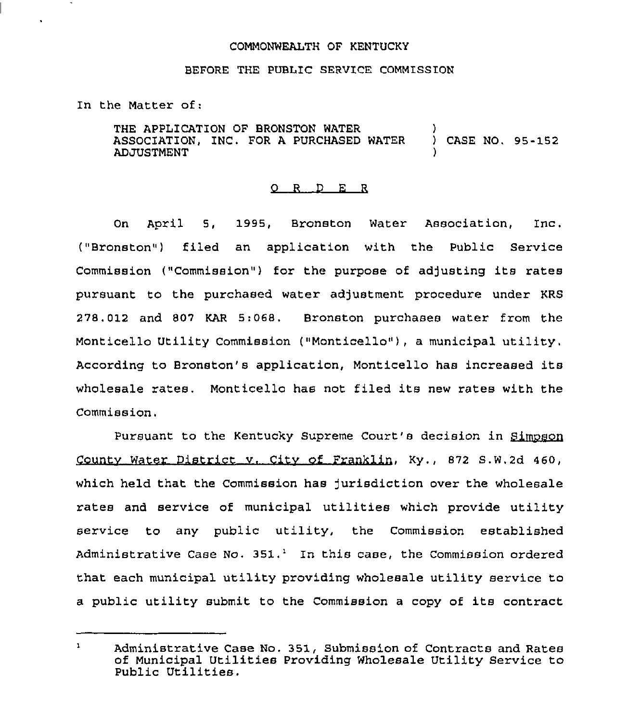## COMMONWEALTH OF KENTUCKY

## BEFORE THE PUBLIC SERVICE COMMISSION

In the Matter of:

THE APPLICATION OF BRONSTON WATER ASSOCIATION, INC. FOR A PURCHASED WATER ADJUSTMENT ) ) CASE NO, 95-152 )

## 0 R <sup>D</sup> E <sup>R</sup>

On April 5, 1995, Bronston Water Association, Inc. ("Bronston") filed an application with the Public Service Commission ("Commission") for the purpose of adjusting its rates pursuant to the purchased water adjustment procedure under KRS 278.012 and 807 KAR 5:068. Bronston purchases water from the Monticello Utility Commission ("Monticello"), a municipal utility, According to Bronston's application, Monticello has increased its wholesale rates. Monticello has not filed its new rates with the Commission,

Pursuant to the Kentucky Supreme Court's decision in Simpson Countv Water District v. Citv of Franklin, Ky., 872 S.W.2d 460, which held that the Commission has Jurisdiction over the wholesale rates and service of municipal utilities which provide utility service to any public utility, the Commission established Administrative Case No.  $351.^1$  In this case, the Commission ordered that each municipal utility providing wholesale utility service to <sup>a</sup> public utility submit to the Commission <sup>a</sup> copy of its contract

 $\mathbf{1}$ Administrative Case No. 351, Submission of Contracts and Rates of Municipal Utilities Providing Wholesale Utility Service to Public Utilities.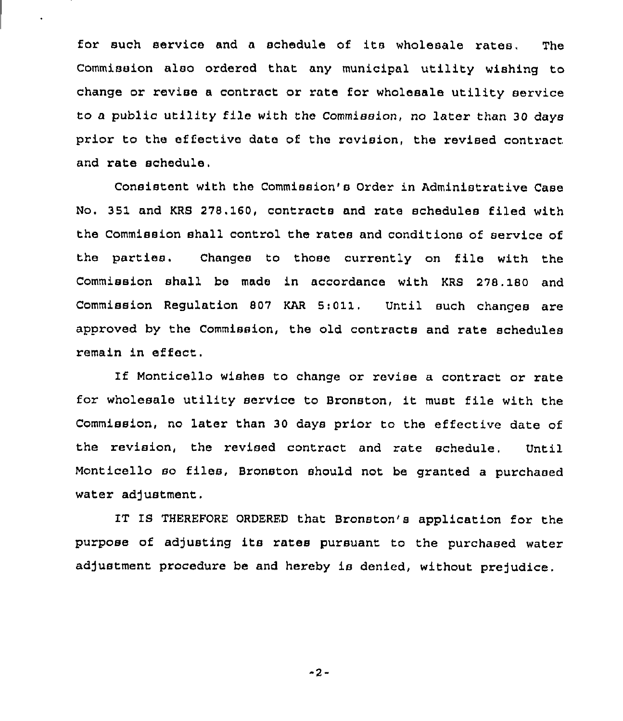for such service and <sup>a</sup> schedule of its wholesale rates, The Commission also ordered that any municipal utility wishing to change or revise a contract or rate for wholesale utility service to <sup>a</sup> public utility file with the Commission, no later than 30 days prior to the effective date of the revision, the revised contract and rate schedule.

Consistent with the Commission's Order in Administrative Case No. 351 and KRS 278, 160, contracts and rate schedules filed with the Commission shall control the rates and conditions of service of the parties. Changes to those currently on file with the Commission shall be made in accordance with KRS 278. 180 and Commission Regulation 807 KAR 5:011. Until such changes are approved by the Commission, the old contracts and rate schedules remain in effect,

If Monticello wishes to change or revise a contract or rate for wholesale utility service to Bronston, it must file with the Commission, no later than 30 days prior to the effective date of the revision, the revised contract and rate schedule. Until Monticello so files, Bronston should not be granted <sup>a</sup> purchased water adjustment.

IT IS THEREFORE ORDERED that Bronston's application for the purpose of adjusting its rates pursuant to the purchased water adjustment procedure be and hereby is denied, without prejudice.

"2-